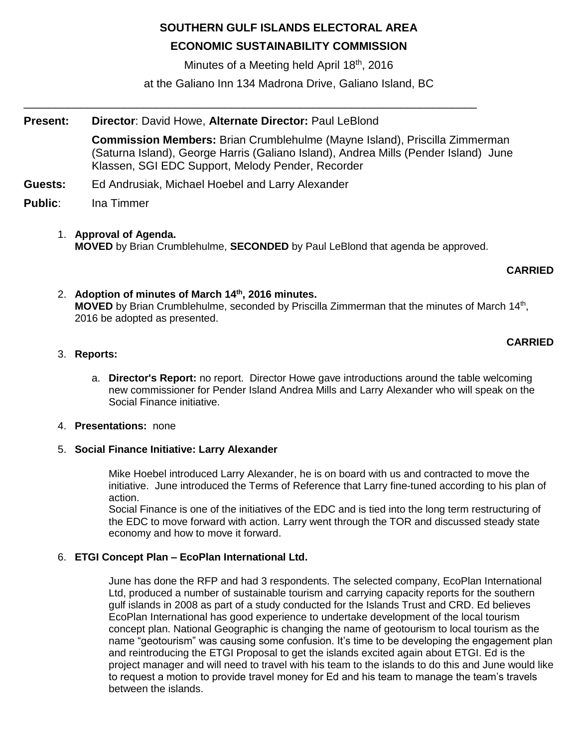# **SOUTHERN GULF ISLANDS ELECTORAL AREA**

# **ECONOMIC SUSTAINABILITY COMMISSION**

Minutes of a Meeting held April 18<sup>th</sup>, 2016

at the Galiano Inn 134 Madrona Drive, Galiano Island, BC

\_\_\_\_\_\_\_\_\_\_\_\_\_\_\_\_\_\_\_\_\_\_\_\_\_\_\_\_\_\_\_\_\_\_\_\_\_\_\_\_\_\_\_\_\_\_\_\_\_\_\_\_\_\_\_\_\_\_\_\_\_\_\_\_\_\_\_\_\_\_\_\_

## **Present: Director**: David Howe, **Alternate Director:** Paul LeBlond

**Commission Members:** Brian Crumblehulme (Mayne Island), Priscilla Zimmerman (Saturna Island), George Harris (Galiano Island), Andrea Mills (Pender Island) June Klassen, SGI EDC Support, Melody Pender, Recorder

- **Guests:** Ed Andrusiak, Michael Hoebel and Larry Alexander
- **Public**: Ina Timmer
	- 1. **Approval of Agenda. MOVED** by Brian Crumblehulme, **SECONDED** by Paul LeBlond that agenda be approved.

## **CARRIED**

2. **Adoption of minutes of March 14th, 2016 minutes.** MOVED by Brian Crumblehulme, seconded by Priscilla Zimmerman that the minutes of March 14<sup>th</sup>, 2016 be adopted as presented.

## **CARRIED**

- 3. **Reports:**
	- a. **Director's Report:** no report. Director Howe gave introductions around the table welcoming new commissioner for Pender Island Andrea Mills and Larry Alexander who will speak on the Social Finance initiative.

### 4. **Presentations:** none

### 5. **Social Finance Initiative: Larry Alexander**

Mike Hoebel introduced Larry Alexander, he is on board with us and contracted to move the initiative. June introduced the Terms of Reference that Larry fine-tuned according to his plan of action.

Social Finance is one of the initiatives of the EDC and is tied into the long term restructuring of the EDC to move forward with action. Larry went through the TOR and discussed steady state economy and how to move it forward.

## 6. **ETGI Concept Plan – EcoPlan International Ltd.**

June has done the RFP and had 3 respondents. The selected company, EcoPlan International Ltd, produced a number of sustainable tourism and carrying capacity reports for the southern gulf islands in 2008 as part of a study conducted for the Islands Trust and CRD. Ed believes EcoPlan International has good experience to undertake development of the local tourism concept plan. National Geographic is changing the name of geotourism to local tourism as the name "geotourism" was causing some confusion. It's time to be developing the engagement plan and reintroducing the ETGI Proposal to get the islands excited again about ETGI. Ed is the project manager and will need to travel with his team to the islands to do this and June would like to request a motion to provide travel money for Ed and his team to manage the team's travels between the islands.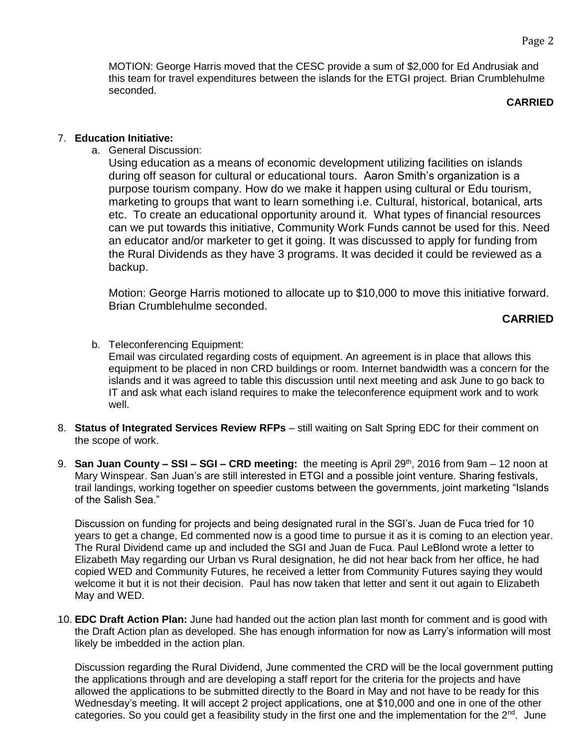MOTION: George Harris moved that the CESC provide a sum of \$2,000 for Ed Andrusiak and this team for travel expenditures between the islands for the ETGI project. Brian Crumblehulme seconded.

## **CARRIED**

### 7. **Education Initiative:**

a. General Discussion:

Using education as a means of economic development utilizing facilities on islands during off season for cultural or educational tours. Aaron Smith's organization is a purpose tourism company. How do we make it happen using cultural or Edu tourism, marketing to groups that want to learn something i.e. Cultural, historical, botanical, arts etc. To create an educational opportunity around it. What types of financial resources can we put towards this initiative, Community Work Funds cannot be used for this. Need an educator and/or marketer to get it going. It was discussed to apply for funding from the Rural Dividends as they have 3 programs. It was decided it could be reviewed as a backup.

Motion: George Harris motioned to allocate up to \$10,000 to move this initiative forward. Brian Crumblehulme seconded.

## **CARRIED**

- b. Teleconferencing Equipment: Email was circulated regarding costs of equipment. An agreement is in place that allows this equipment to be placed in non CRD buildings or room. Internet bandwidth was a concern for the islands and it was agreed to table this discussion until next meeting and ask June to go back to IT and ask what each island requires to make the teleconference equipment work and to work well.
- 8. **Status of Integrated Services Review RFPs** still waiting on Salt Spring EDC for their comment on the scope of work.
- 9. **San Juan County – SSI – SGI – CRD meeting:** the meeting is April 29th, 2016 from 9am 12 noon at Mary Winspear. San Juan's are still interested in ETGI and a possible joint venture. Sharing festivals, trail landings, working together on speedier customs between the governments, joint marketing "Islands of the Salish Sea."

Discussion on funding for projects and being designated rural in the SGI's. Juan de Fuca tried for 10 years to get a change, Ed commented now is a good time to pursue it as it is coming to an election year. The Rural Dividend came up and included the SGI and Juan de Fuca. Paul LeBlond wrote a letter to Elizabeth May regarding our Urban vs Rural designation, he did not hear back from her office, he had copied WED and Community Futures, he received a letter from Community Futures saying they would welcome it but it is not their decision. Paul has now taken that letter and sent it out again to Elizabeth May and WED.

10. **EDC Draft Action Plan:** June had handed out the action plan last month for comment and is good with the Draft Action plan as developed. She has enough information for now as Larry's information will most likely be imbedded in the action plan.

Discussion regarding the Rural Dividend, June commented the CRD will be the local government putting the applications through and are developing a staff report for the criteria for the projects and have allowed the applications to be submitted directly to the Board in May and not have to be ready for this Wednesday's meeting. It will accept 2 project applications, one at \$10,000 and one in one of the other categories. So you could get a feasibility study in the first one and the implementation for the  $2^{nd}$ . June